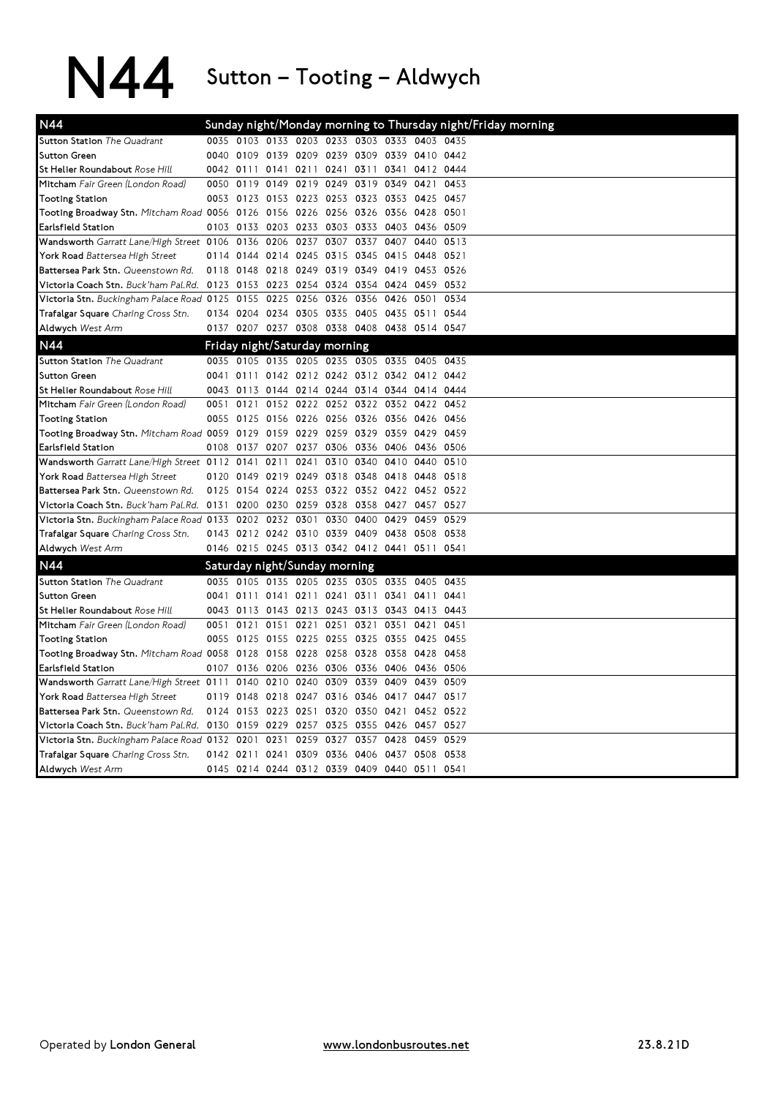N44 Sutton - Tooting - Aldwych

| N44                                                                               |  |                                              |      |      |                |      |           | Sunday night/Monday morning to Thursday night/Friday morning |
|-----------------------------------------------------------------------------------|--|----------------------------------------------|------|------|----------------|------|-----------|--------------------------------------------------------------|
| Sutton Station The Quadrant                                                       |  | 0035 0103 0133 0203 0233 0303 0333 0403 0435 |      |      |                |      |           |                                                              |
| <b>Sutton Green</b>                                                               |  | 0040 0109 0139 0209 0239 0309 0339 0410 0442 |      |      |                |      |           |                                                              |
| St Helier Roundabout Rose Hill                                                    |  | 0042 0111 0141 0211 0241 0311 0341 0412 0444 |      |      |                |      |           |                                                              |
| Mitcham Fair Green (London Road)                                                  |  | 0050 0119 0149 0219 0249                     |      |      | 0319 0349      |      | 0421      | 0453                                                         |
| <b>Tooting Station</b>                                                            |  | 0053 0123 0153 0223 0253 0323 0353 0425 0457 |      |      |                |      |           |                                                              |
| Tooting Broadway Stn. Mitcham Road 0056 0126 0156 0226 0256 0326 0356 0428 0501   |  |                                              |      |      |                |      |           |                                                              |
| Earlsfield Station                                                                |  | 0103 0133 0203 0233 0303 0333                |      |      |                | 0403 | 0436 0509 |                                                              |
| Wandsworth Garratt Lane/High Street 0106 0136                                     |  | 0206 0237                                    |      |      | 0307 0337      | 0407 | 0440 0513 |                                                              |
| York Road Battersea High Street                                                   |  | 0114 0144 0214 0245 0315 0345 0415 0448 0521 |      |      |                |      |           |                                                              |
| Battersea Park Stn. Queenstown Rd.                                                |  | 0118 0148 0218 0249 0319 0349 0419           |      |      |                |      | 0453 0526 |                                                              |
| Victoria Coach Stn. Buck'ham Pal.Rd.                                              |  | 0123 0153 0223 0254 0324 0354 0424           |      |      |                |      | 0459 0532 |                                                              |
| Victoria Stn. Buckingham Palace Road 0125 0155                                    |  | 0225 0256 0326                               |      |      | 0356           | 0426 | 0501      | 0534                                                         |
| <b>Trafalgar Square</b> Charing Cross Stn.                                        |  | 0134 0204 0234 0305 0335 0405 0435 0511 0544 |      |      |                |      |           |                                                              |
| Aldwych West Arm                                                                  |  | 0137 0207 0237 0308 0338 0408 0438 0514 0547 |      |      |                |      |           |                                                              |
| N44                                                                               |  | Friday night/Saturday morning                |      |      |                |      |           |                                                              |
| Sutton Station <i>The Quadrant</i>                                                |  | 0035 0105 0135 0205 0235 0305 0335           |      |      |                |      | 0405      | 0435                                                         |
| <b>Sutton Green</b>                                                               |  | 0041 0111 0142 0212 0242 0312 0342 0412 0442 |      |      |                |      |           |                                                              |
| <b>St Helier Roundabout</b> <i>Rose Hill</i>                                      |  | 0043 0113 0144 0214 0244 0314 0344 0414 0444 |      |      |                |      |           |                                                              |
| Mitcham Fair Green (London Road)                                                  |  | 0051 0121 0152 0222 0252 0322 0352 0422 0452 |      |      |                |      |           |                                                              |
| <b>Tooting Station</b>                                                            |  | 0055 0125 0156 0226 0256 0326 0356 0426 0456 |      |      |                |      |           |                                                              |
| Tooting Broadway Stn. Mitcham Road 0059 0129 0159 0229 0259 0329 0359             |  |                                              |      |      |                |      | 0429 0459 |                                                              |
| Earlsfield Station                                                                |  | 0108 0137 0207 0237 0306 0336 0406 0436 0506 |      |      |                |      |           |                                                              |
| Wandsworth Garratt Lane/High Street 0112 0141 0211 0241                           |  |                                              |      |      | 0310 0340 0410 |      | 0440      | 0510                                                         |
| York Road Battersea High Street                                                   |  | 0120 0149 0219 0249 0318 0348 0418           |      |      |                |      | 0448 0518 |                                                              |
| Battersea Park Stn. Queenstown Rd.                                                |  | 0125 0154 0224 0253 0322 0352 0422 0452 0522 |      |      |                |      |           |                                                              |
| Victoria Coach Stn. Buck'ham Pal.Rd. 0131 0200 0230 0259 0328 0358 0427 0457 0527 |  |                                              |      |      |                |      |           |                                                              |
| Victoria Stn. Buckingham Palace Road 0133 0202 0232 0301                          |  |                                              |      |      | 0330 0400      | 0429 | 0459 0529 |                                                              |
| Trafalgar Square Charing Cross Stn.                                               |  | 0143 0212 0242 0310 0339 0409 0438 0508 0538 |      |      |                |      |           |                                                              |
| Aldwych West Arm                                                                  |  | 0146 0215 0245 0313 0342 0412 0441 0511 0541 |      |      |                |      |           |                                                              |
| N44                                                                               |  | Saturday night/Sunday morning                |      |      |                |      |           |                                                              |
| <b>Sutton Station</b> The Quadrant                                                |  | 0035 0105 0135 0205 0235 0305 0335 0405 0435 |      |      |                |      |           |                                                              |
| <b>Sutton Green</b>                                                               |  | 0041 0111 0141 0211 0241 0311 0341 0411 0441 |      |      |                |      |           |                                                              |
| St Helier Roundabout Rose Hill                                                    |  | 0043 0113 0143 0213 0243 0313 0343 0413 0443 |      |      |                |      |           |                                                              |
| Mitcham Fair Green (London Road)                                                  |  | 0051 0121 0151 0221 0251 0321                |      |      |                | 0351 | 0421 0451 |                                                              |
| <b>Tooting Station</b>                                                            |  | 0055 0125 0155 0225 0255 0325 0355 0425 0455 |      |      |                |      |           |                                                              |
| Tooting Broadway Stn. Mitcham Road 0058 0128 0158 0228 0258 0328 0358 0428 0458   |  |                                              |      |      |                |      |           |                                                              |
| Earlsfield Station                                                                |  | 0107 0136 0206 0236 0306 0336 0406 0436 0506 |      |      |                |      |           |                                                              |
| Wandsworth Garratt Lane/High Street 0111 0140 0210 0240 0309                      |  |                                              |      |      | 0339 0409      |      | 0439 0509 |                                                              |
| York Road Battersea High Street                                                   |  | 0119 0148 0218 0247 0316 0346 0417 0447 0517 |      |      |                |      |           |                                                              |
| Battersea Park Stn. Queenstown Rd.                                                |  | 0124 0153 0223 0251 0320 0350 0421           |      |      |                |      | 0452 0522 |                                                              |
| <b>Victoria Coach Stn.</b> Buck'ham Pal.Rd.                                       |  | 0130 0159 0229 0257 0325 0355                |      |      |                | 0426 | 0457 0527 |                                                              |
| Victoria Stn. Buckingham Palace Road 0132 0201 0231                               |  |                                              | 0259 | 0327 | 0357           | 0428 | 0459 0529 |                                                              |
| Trafalgar Square Charing Cross Stn.                                               |  | 0142 0211 0241 0309 0336 0406 0437 0508 0538 |      |      |                |      |           |                                                              |
| Aldwych West Arm                                                                  |  | 0145 0214 0244 0312 0339 0409 0440 0511 0541 |      |      |                |      |           |                                                              |